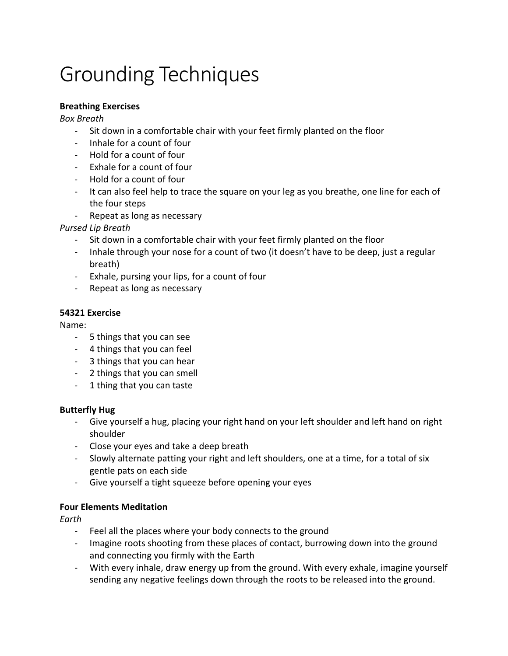# Grounding Techniques

#### **Breathing Exercises**

*Box Breath*

- Sit down in a comfortable chair with your feet firmly planted on the floor
- Inhale for a count of four
- Hold for a count of four
- Exhale for a count of four
- Hold for a count of four
- It can also feel help to trace the square on your leg as you breathe, one line for each of the four steps
- Repeat as long as necessary

### *Pursed Lip Breath*

- Sit down in a comfortable chair with your feet firmly planted on the floor
- Inhale through your nose for a count of two (it doesn't have to be deep, just a regular breath)
- Exhale, pursing your lips, for a count of four
- Repeat as long as necessary

#### **54321 Exercise**

Name:

- 5 things that you can see
- 4 things that you can feel
- 3 things that you can hear
- 2 things that you can smell
- 1 thing that you can taste

#### **Butterfly Hug**

- Give yourself a hug, placing your right hand on your left shoulder and left hand on right shoulder
- Close your eyes and take a deep breath
- Slowly alternate patting your right and left shoulders, one at a time, for a total of six gentle pats on each side
- Give yourself a tight squeeze before opening your eyes

#### **Four Elements Meditation**

*Earth*

- Feel all the places where your body connects to the ground
- Imagine roots shooting from these places of contact, burrowing down into the ground and connecting you firmly with the Earth
- With every inhale, draw energy up from the ground. With every exhale, imagine yourself sending any negative feelings down through the roots to be released into the ground.